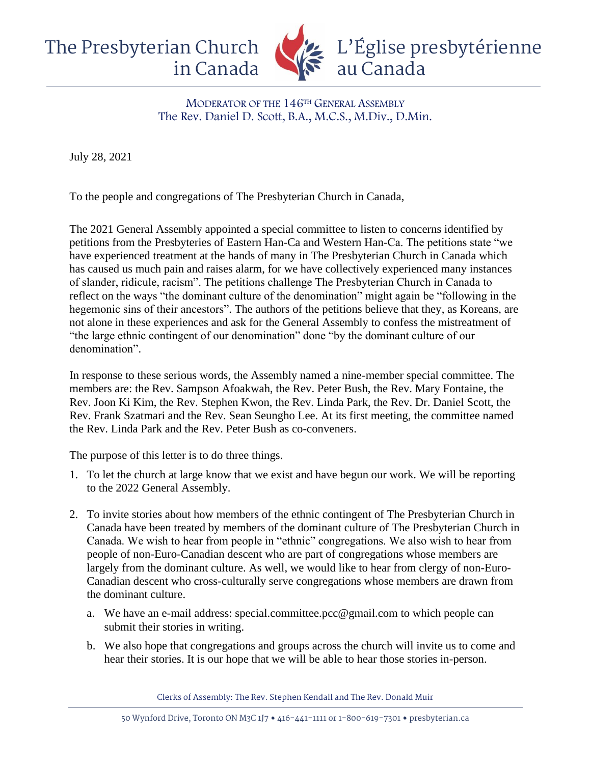The Presbyterian Church in Canada L'Église presbytérienne au Canada

> MODERATOR OF THE 146TH GENERAL ASSEMBLY The Rev. Daniel D. Scott, B.A., M.C.S., M.Div., D.Min.

July 28, 2021

To the people and congregations of The Presbyterian Church in Canada,

The 2021 General Assembly appointed a special committee to listen to concerns identified by petitions from the Presbyteries of Eastern Han-Ca and Western Han-Ca. The petitions state "we have experienced treatment at the hands of many in The Presbyterian Church in Canada which has caused us much pain and raises alarm, for we have collectively experienced many instances of slander, ridicule, racism". The petitions challenge The Presbyterian Church in Canada to reflect on the ways "the dominant culture of the denomination" might again be "following in the hegemonic sins of their ancestors". The authors of the petitions believe that they, as Koreans, are not alone in these experiences and ask for the General Assembly to confess the mistreatment of "the large ethnic contingent of our denomination" done "by the dominant culture of our denomination".

In response to these serious words, the Assembly named a nine-member special committee. The members are: the Rev. Sampson Afoakwah, the Rev. Peter Bush, the Rev. Mary Fontaine, the Rev. Joon Ki Kim, the Rev. Stephen Kwon, the Rev. Linda Park, the Rev. Dr. Daniel Scott, the Rev. Frank Szatmari and the Rev. Sean Seungho Lee. At its first meeting, the committee named the Rev. Linda Park and the Rev. Peter Bush as co-conveners.

The purpose of this letter is to do three things.

- 1. To let the church at large know that we exist and have begun our work. We will be reporting to the 2022 General Assembly.
- 2. To invite stories about how members of the ethnic contingent of The Presbyterian Church in Canada have been treated by members of the dominant culture of The Presbyterian Church in Canada. We wish to hear from people in "ethnic" congregations. We also wish to hear from people of non-Euro-Canadian descent who are part of congregations whose members are largely from the dominant culture. As well, we would like to hear from clergy of non-Euro-Canadian descent who cross-culturally serve congregations whose members are drawn from the dominant culture.
	- a. We have an e-mail address: special.committee.pcc@gmail.com to which people can submit their stories in writing.
	- b. We also hope that congregations and groups across the church will invite us to come and hear their stories. It is our hope that we will be able to hear those stories in-person.

Clerks of Assembly: The Rev. Stephen Kendall and The Rev. Donald Muir